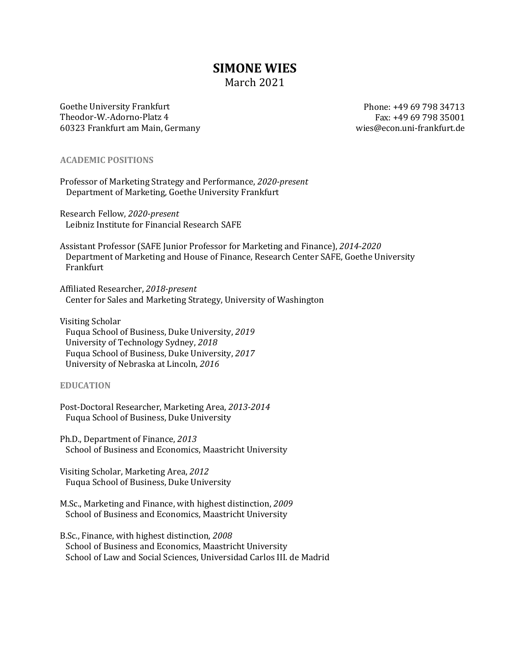# **SIMONE WIES**

# March 2021

Goethe University Frankfurt Theodor-W.-Adorno-Platz 4 60323 Frankfurt am Main, Germany

Phone: +49 69 798 34713 Fax: +49 69 798 35001 wies@econ.uni-frankfurt.de 

### **ACADEMIC POSITIONS**

Professor of Marketing Strategy and Performance, *2020-present* Department of Marketing, Goethe University Frankfurt

Research Fellow, *2020-present* Leibniz Institute for Financial Research SAFE

Assistant Professor (SAFE Junior Professor for Marketing and Finance), 2014-2020 Department of Marketing and House of Finance, Research Center SAFE, Goethe University Frankfurt

Affiliated Researcher, *2018-present* Center for Sales and Marketing Strategy, University of Washington

Visiting Scholar Fuqua School of Business, Duke University, *2019* University of Technology Sydney, *2018* Fuqua School of Business, Duke University, *2017* University of Nebraska at Lincoln, *2016*

# **EDUCATION**

Post-Doctoral Researcher, Marketing Area, *2013-2014* Fuqua School of Business, Duke University

Ph.D., Department of Finance, 2013 School of Business and Economics, Maastricht University

Visiting Scholar, Marketing Area, *2012* Fuqua School of Business, Duke University

M.Sc., Marketing and Finance, with highest distinction, 2009 School of Business and Economics, Maastricht University

B.Sc., Finance, with highest distinction, 2008 School of Business and Economics, Maastricht University School of Law and Social Sciences, Universidad Carlos III. de Madrid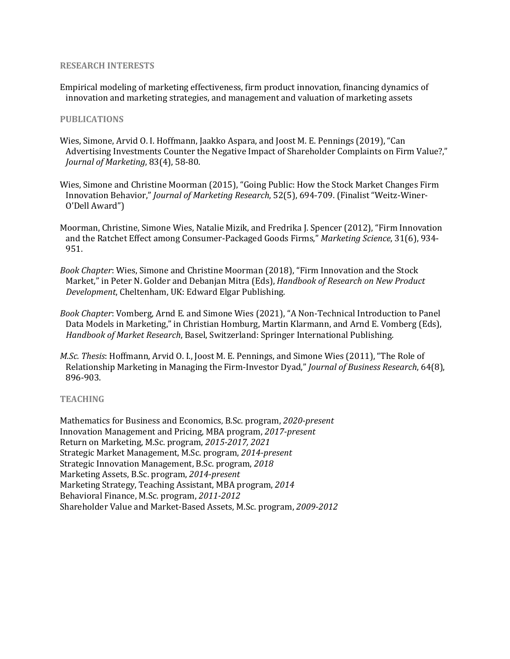#### **RESEARCH INTERESTS**

Empirical modeling of marketing effectiveness, firm product innovation, financing dynamics of innovation and marketing strategies, and management and valuation of marketing assets

#### **PUBLICATIONS**

- Wies, Simone, Arvid O. I. Hoffmann, Jaakko Aspara, and Joost M. E. Pennings (2019), "Can Advertising Investments Counter the Negative Impact of Shareholder Complaints on Firm Value?," *Journal of Marketing*, 83(4), 58-80.
- Wies, Simone and Christine Moorman (2015), "Going Public: How the Stock Market Changes Firm Innovation Behavior," *Journal of Marketing Research*, 52(5), 694-709. (Finalist "Weitz-Winer-O'Dell Award")
- Moorman, Christine, Simone Wies, Natalie Mizik, and Fredrika J. Spencer (2012), "Firm Innovation and the Ratchet Effect among Consumer-Packaged Goods Firms," *Marketing Science*, 31(6), 934-951.
- Book Chapter: Wies, Simone and Christine Moorman (2018), "Firm Innovation and the Stock Market," in Peter N. Golder and Debanjan Mitra (Eds), *Handbook of Research on New Product* Development, Cheltenham, UK: Edward Elgar Publishing.
- *Book Chapter*: Vomberg, Arnd E. and Simone Wies (2021), "A Non-Technical Introduction to Panel Data Models in Marketing," in Christian Homburg, Martin Klarmann, and Arnd E. Vomberg (Eds), *Handbook of Market Research*, Basel, Switzerland: Springer International Publishing.
- *M.Sc. Thesis*: Hoffmann, Arvid O. I., Joost M. E. Pennings, and Simone Wies (2011), "The Role of Relationship Marketing in Managing the Firm-Investor Dyad," *Journal of Business Research*, 64(8), 896-903.

#### **TEACHING**

Mathematics for Business and Economics, B.Sc. program, 2020-present Innovation Management and Pricing, MBA program, *2017-present* Return on Marketing, M.Sc. program, 2015-2017, 2021 Strategic Market Management, M.Sc. program, *2014-present* Strategic Innovation Management, B.Sc. program, 2018 Marketing Assets, B.Sc. program, *2014-present* Marketing Strategy, Teaching Assistant, MBA program, 2014 Behavioral Finance, M.Sc. program, 2011-2012 Shareholder Value and Market-Based Assets, M.Sc. program, 2009-2012